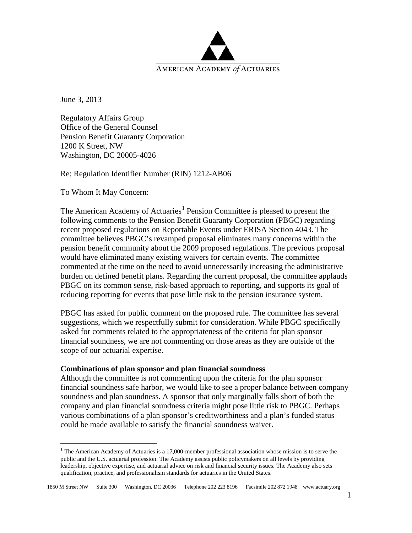

June 3, 2013

Regulatory Affairs Group Office of the General Counsel Pension Benefit Guaranty Corporation 1200 K Street, NW Washington, DC 20005-4026

Re: Regulation Identifier Number (RIN) 1212-AB06

To Whom It May Concern:

The American Academy of Actuaries<sup>[1](#page-0-0)</sup> Pension Committee is pleased to present the following comments to the Pension Benefit Guaranty Corporation (PBGC) regarding recent proposed regulations on Reportable Events under ERISA Section 4043. The committee believes PBGC's revamped proposal eliminates many concerns within the pension benefit community about the 2009 proposed regulations. The previous proposal would have eliminated many existing waivers for certain events. The committee commented at the time on the need to avoid unnecessarily increasing the administrative burden on defined benefit plans. Regarding the current proposal, the committee applauds PBGC on its common sense, risk-based approach to reporting, and supports its goal of reducing reporting for events that pose little risk to the pension insurance system.

PBGC has asked for public comment on the proposed rule. The committee has several suggestions, which we respectfully submit for consideration. While PBGC specifically asked for comments related to the appropriateness of the criteria for plan sponsor financial soundness, we are not commenting on those areas as they are outside of the scope of our actuarial expertise.

# **Combinations of plan sponsor and plan financial soundness**

Although the committee is not commenting upon the criteria for the plan sponsor financial soundness safe harbor, we would like to see a proper balance between company soundness and plan soundness. A sponsor that only marginally falls short of both the company and plan financial soundness criteria might pose little risk to PBGC. Perhaps various combinations of a plan sponsor's creditworthiness and a plan's funded status could be made available to satisfy the financial soundness waiver.

<span id="page-0-0"></span><sup>&</sup>lt;sup>1</sup> The American Academy of Actuaries is a 17,000-member professional association whose mission is to serve the public and the U.S. actuarial profession. The Academy assists public policymakers on all levels by providing leadership, objective expertise, and actuarial advice on risk and financial security issues. The Academy also sets qualification, practice, and professionalism standards for actuaries in the United States.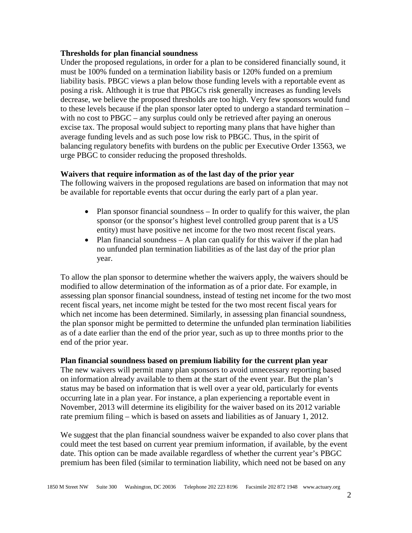### **Thresholds for plan financial soundness**

Under the proposed regulations, in order for a plan to be considered financially sound, it must be 100% funded on a termination liability basis or 120% funded on a premium liability basis. PBGC views a plan below those funding levels with a reportable event as posing a risk. Although it is true that PBGC's risk generally increases as funding levels decrease, we believe the proposed thresholds are too high. Very few sponsors would fund to these levels because if the plan sponsor later opted to undergo a standard termination – with no cost to PBGC – any surplus could only be retrieved after paying an onerous excise tax. The proposal would subject to reporting many plans that have higher than average funding levels and as such pose low risk to PBGC. Thus, in the spirit of balancing regulatory benefits with burdens on the public per Executive Order 13563, we urge PBGC to consider reducing the proposed thresholds.

## **Waivers that require information as of the last day of the prior year**

The following waivers in the proposed regulations are based on information that may not be available for reportable events that occur during the early part of a plan year.

- Plan sponsor financial soundness In order to qualify for this waiver, the plan sponsor (or the sponsor's highest level controlled group parent that is a US entity) must have positive net income for the two most recent fiscal years.
- Plan financial soundness A plan can qualify for this waiver if the plan had no unfunded plan termination liabilities as of the last day of the prior plan year.

To allow the plan sponsor to determine whether the waivers apply, the waivers should be modified to allow determination of the information as of a prior date. For example, in assessing plan sponsor financial soundness, instead of testing net income for the two most recent fiscal years, net income might be tested for the two most recent fiscal years for which net income has been determined. Similarly, in assessing plan financial soundness, the plan sponsor might be permitted to determine the unfunded plan termination liabilities as of a date earlier than the end of the prior year, such as up to three months prior to the end of the prior year.

# **Plan financial soundness based on premium liability for the current plan year**

The new waivers will permit many plan sponsors to avoid unnecessary reporting based on information already available to them at the start of the event year. But the plan's status may be based on information that is well over a year old, particularly for events occurring late in a plan year. For instance, a plan experiencing a reportable event in November, 2013 will determine its eligibility for the waiver based on its 2012 variable rate premium filing – which is based on assets and liabilities as of January 1, 2012.

We suggest that the plan financial soundness waiver be expanded to also cover plans that could meet the test based on current year premium information, if available, by the event date. This option can be made available regardless of whether the current year's PBGC premium has been filed (similar to termination liability, which need not be based on any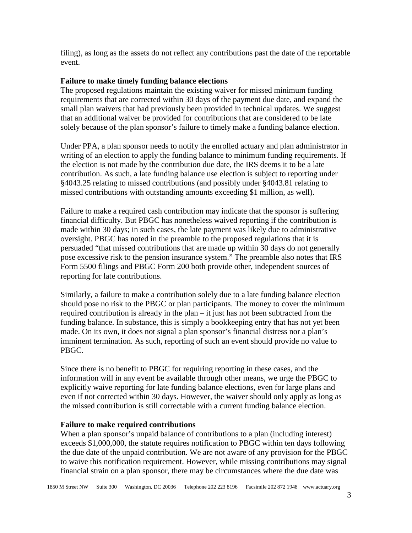filing), as long as the assets do not reflect any contributions past the date of the reportable event.

### **Failure to make timely funding balance elections**

The proposed regulations maintain the existing waiver for missed minimum funding requirements that are corrected within 30 days of the payment due date, and expand the small plan waivers that had previously been provided in technical updates. We suggest that an additional waiver be provided for contributions that are considered to be late solely because of the plan sponsor's failure to timely make a funding balance election.

Under PPA, a plan sponsor needs to notify the enrolled actuary and plan administrator in writing of an election to apply the funding balance to minimum funding requirements. If the election is not made by the contribution due date, the IRS deems it to be a late contribution. As such, a late funding balance use election is subject to reporting under §4043.25 relating to missed contributions (and possibly under §4043.81 relating to missed contributions with outstanding amounts exceeding \$1 million, as well).

Failure to make a required cash contribution may indicate that the sponsor is suffering financial difficulty. But PBGC has nonetheless waived reporting if the contribution is made within 30 days; in such cases, the late payment was likely due to administrative oversight. PBGC has noted in the preamble to the proposed regulations that it is persuaded "that missed contributions that are made up within 30 days do not generally pose excessive risk to the pension insurance system." The preamble also notes that IRS Form 5500 filings and PBGC Form 200 both provide other, independent sources of reporting for late contributions.

Similarly, a failure to make a contribution solely due to a late funding balance election should pose no risk to the PBGC or plan participants. The money to cover the minimum required contribution is already in the plan – it just has not been subtracted from the funding balance. In substance, this is simply a bookkeeping entry that has not yet been made. On its own, it does not signal a plan sponsor's financial distress nor a plan's imminent termination. As such, reporting of such an event should provide no value to PBGC.

Since there is no benefit to PBGC for requiring reporting in these cases, and the information will in any event be available through other means, we urge the PBGC to explicitly waive reporting for late funding balance elections, even for large plans and even if not corrected within 30 days. However, the waiver should only apply as long as the missed contribution is still correctable with a current funding balance election.

#### **Failure to make required contributions**

When a plan sponsor's unpaid balance of contributions to a plan (including interest) exceeds \$1,000,000, the statute requires notification to PBGC within ten days following the due date of the unpaid contribution. We are not aware of any provision for the PBGC to waive this notification requirement. However, while missing contributions may signal financial strain on a plan sponsor, there may be circumstances where the due date was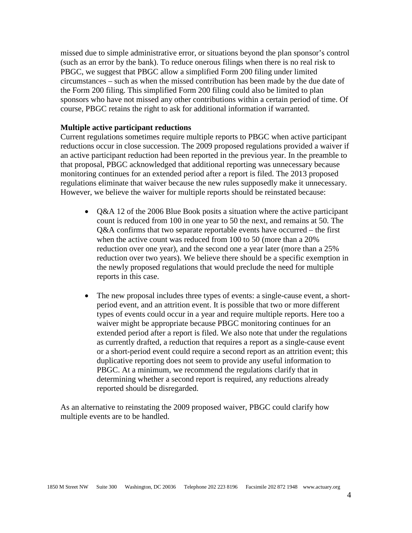missed due to simple administrative error, or situations beyond the plan sponsor's control (such as an error by the bank). To reduce onerous filings when there is no real risk to PBGC, we suggest that PBGC allow a simplified Form 200 filing under limited circumstances – such as when the missed contribution has been made by the due date of the Form 200 filing. This simplified Form 200 filing could also be limited to plan sponsors who have not missed any other contributions within a certain period of time. Of course, PBGC retains the right to ask for additional information if warranted.

#### **Multiple active participant reductions**

Current regulations sometimes require multiple reports to PBGC when active participant reductions occur in close succession. The 2009 proposed regulations provided a waiver if an active participant reduction had been reported in the previous year. In the preamble to that proposal, PBGC acknowledged that additional reporting was unnecessary because monitoring continues for an extended period after a report is filed. The 2013 proposed regulations eliminate that waiver because the new rules supposedly make it unnecessary. However, we believe the waiver for multiple reports should be reinstated because:

- Q&A 12 of the 2006 Blue Book posits a situation where the active participant count is reduced from 100 in one year to 50 the next, and remains at 50. The Q&A confirms that two separate reportable events have occurred – the first when the active count was reduced from 100 to 50 (more than a 20% reduction over one year), and the second one a year later (more than a 25% reduction over two years). We believe there should be a specific exemption in the newly proposed regulations that would preclude the need for multiple reports in this case.
- The new proposal includes three types of events: a single-cause event, a shortperiod event, and an attrition event. It is possible that two or more different types of events could occur in a year and require multiple reports. Here too a waiver might be appropriate because PBGC monitoring continues for an extended period after a report is filed. We also note that under the regulations as currently drafted, a reduction that requires a report as a single-cause event or a short-period event could require a second report as an attrition event; this duplicative reporting does not seem to provide any useful information to PBGC. At a minimum, we recommend the regulations clarify that in determining whether a second report is required, any reductions already reported should be disregarded.

As an alternative to reinstating the 2009 proposed waiver, PBGC could clarify how multiple events are to be handled.